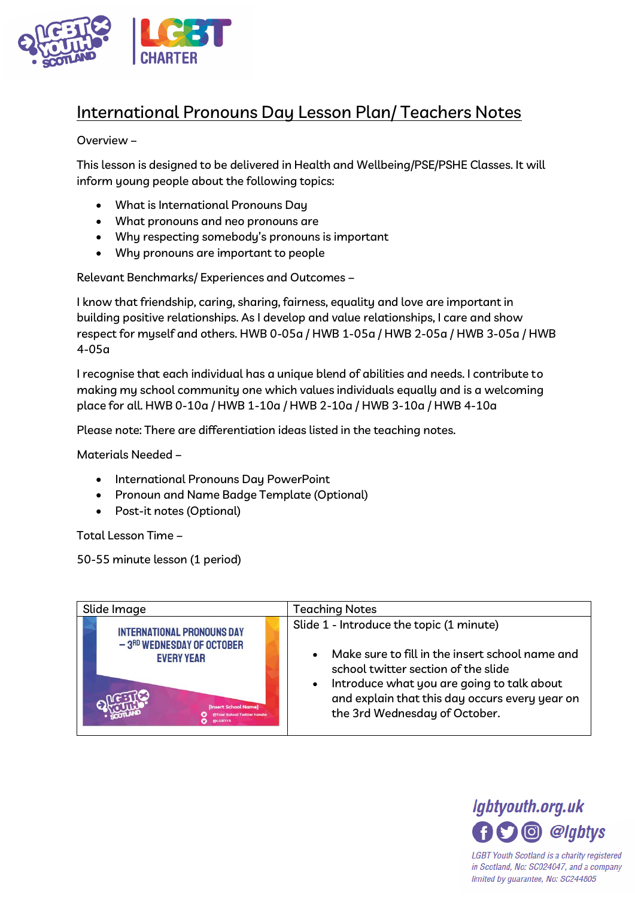

## International Pronouns Day Lesson Plan/ Teachers Notes

## Overview –

This lesson is designed to be delivered in Health and Wellbeing/PSE/PSHE Classes. It will inform young people about the following topics:

- What is International Pronouns Day
- What pronouns and neo pronouns are
- Why respecting somebody's pronouns is important
- Why pronouns are important to people

Relevant Benchmarks/ Experiences and Outcomes –

I know that friendship, caring, sharing, fairness, equality and love are important in building positive relationships. As I develop and value relationships, I care and show respect for myself and others. HWB 0-05a / HWB 1-05a / HWB 2-05a / HWB 3-05a / HWB 4-05a

I recognise that each individual has a unique blend of abilities and needs. I contribute to making my school community one which values individuals equally and is a welcoming place for all. HWB 0-10a / HWB 1-10a / HWB 2-10a / HWB 3-10a / HWB 4-10a

Please note: There are differentiation ideas listed in the teaching notes.

Materials Needed –

- International Pronouns Day PowerPoint
- Pronoun and Name Badge Template (Optional)
- Post-it notes (Optional)

Total Lesson Time –

50-55 minute lesson (1 period)





in Scotland, No: SC024047, and a company limited by guarantee, No: SC244805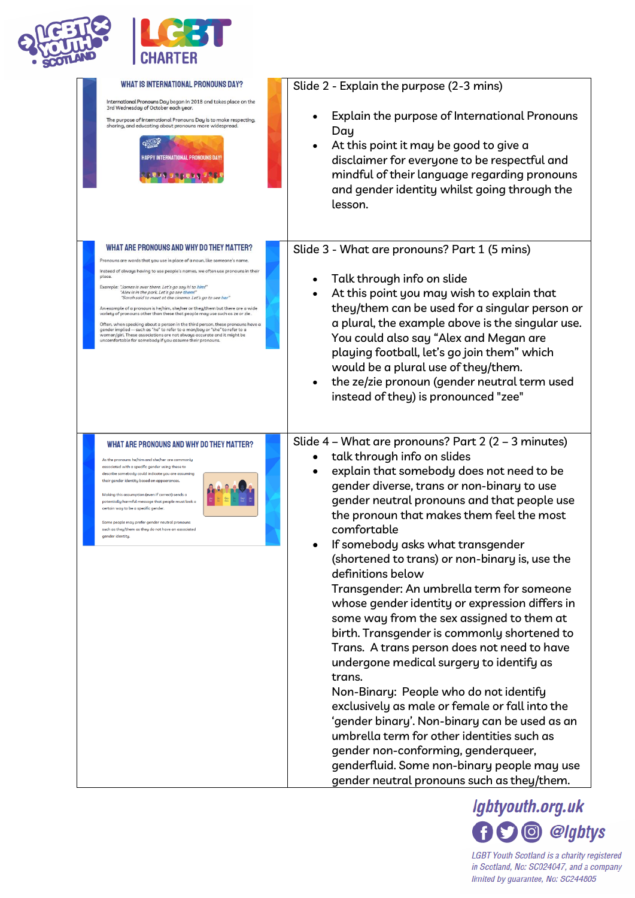



| WHAT IS INTERNATIONAL PRONOUNS DAY?<br>International Pronouns Day began in 2018 and takes place on the<br>3rd Wednesday of October each year.<br>The purpose of International Pronouns Day is to make respecting,<br>sharing, and educating about pronouns more widespread.<br>HAPPY INTERNATIONAL PRONOUNS DAY<br><b>RELAY DELEGY DEL</b>                                                                                                                                                                                                                                                                                                                                                                                                                                                                                                                 | Slide 2 - Explain the purpose (2-3 mins)<br>Explain the purpose of International Pronouns<br>Day<br>At this point it may be good to give a<br>disclaimer for everyone to be respectful and<br>mindful of their language regarding pronouns<br>and gender identity whilst going through the<br>lesson.                                                                                                                                                                                                                                                                                                                                                                                                                                                                                                                                                                                                                                                                                                                               |
|------------------------------------------------------------------------------------------------------------------------------------------------------------------------------------------------------------------------------------------------------------------------------------------------------------------------------------------------------------------------------------------------------------------------------------------------------------------------------------------------------------------------------------------------------------------------------------------------------------------------------------------------------------------------------------------------------------------------------------------------------------------------------------------------------------------------------------------------------------|-------------------------------------------------------------------------------------------------------------------------------------------------------------------------------------------------------------------------------------------------------------------------------------------------------------------------------------------------------------------------------------------------------------------------------------------------------------------------------------------------------------------------------------------------------------------------------------------------------------------------------------------------------------------------------------------------------------------------------------------------------------------------------------------------------------------------------------------------------------------------------------------------------------------------------------------------------------------------------------------------------------------------------------|
| WHAT ARE PRONOUNS AND WHY DO THEY MATTER?<br>Pronouns are words that you use in place of a noun, like someone's name.<br>Instead of always having to use people's names, we often use pronouns in their<br>place.<br>Example: "James is over there. Let's ao sau hi to him!"<br>"Alex is in the park. Let's go see them!"<br>"Sarah said to meet at the cinema. Let's go to see her"<br>An example of a pronoun is he/him, she/her or they/them but there are a wide<br>variety of pronouns other than these that people may use such as ze or zie.<br>Often, when speaking about a person in the third person, these pronouns have a<br>gender implied -- such as "he" to refer to a man/boy or "she" to refer to a<br>woman/qirl. These associations are not always accurate and it might be<br>uncomfortable for somebody if you assume their pronouns. | Slide 3 - What are pronouns? Part 1 (5 mins)<br>Talk through info on slide<br>At this point you may wish to explain that<br>they/them can be used for a singular person or<br>a plural, the example above is the singular use.<br>You could also say "Alex and Megan are<br>playing football, let's go join them" which<br>would be a plural use of they/them.<br>the ze/zie pronoun (gender neutral term used<br>instead of they) is pronounced "zee"                                                                                                                                                                                                                                                                                                                                                                                                                                                                                                                                                                              |
| WHAT ARE PRONOUNS AND WHY DO THEY MATTER?<br>As the pronouns he/him and she/her are commonly<br>associated with a specific gender using these to<br>describe somebody could indicate you are assuming<br>their gender identity based on appearances.<br>Making this assumption (even if correct) sends a<br>potentially harmful message that people must look a<br>certain way to be a specific gender<br>Some people may prefer gender neutral pronouns<br>such as they/them as they do not have an associated<br>gender identitu.                                                                                                                                                                                                                                                                                                                        | Slide 4 - What are pronouns? Part 2 (2 - 3 minutes)<br>talk through info on slides<br>explain that somebody does not need to be<br>gender diverse, trans or non-binary to use<br>gender neutral pronouns and that people use<br>the pronoun that makes them feel the most<br>comfortable<br>If somebody asks what transgender<br>(shortened to trans) or non-binary is, use the<br>definitions below<br>Transgender: An umbrella term for someone<br>whose gender identity or expression differs in<br>some way from the sex assigned to them at<br>birth. Transgender is commonly shortened to<br>Trans. A trans person does not need to have<br>undergone medical surgery to identify as<br>trans.<br>Non-Binary: People who do not identify<br>exclusively as male or female or fall into the<br>'gender binary'. Non-binary can be used as an<br>umbrella term for other identities such as<br>gender non-conforming, genderqueer,<br>genderfluid. Some non-binary people may use<br>gender neutral pronouns such as they/them. |

Igbtyouth.org.uk **OO** @lgbtys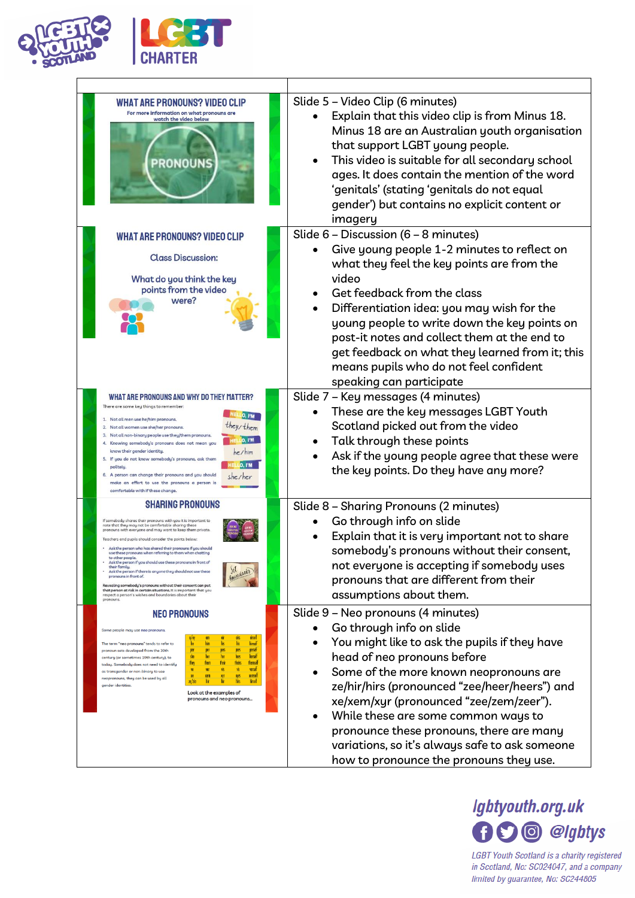

| <b>WHAT ARE PRONOUNS? VIDEO CLIP</b><br>For more information on what pronouns are<br>watch the video below<br><b>PRONOUNS</b>                                                                                                                                                                                                                                                                                                                                                                                                                                                                                                                                                                                                                                                                                      | Slide 5 - Video Clip (6 minutes)<br>Explain that this video clip is from Minus 18.<br>Minus 18 are an Australian youth organisation<br>that support LGBT young people.<br>This video is suitable for all secondary school<br>ages. It does contain the mention of the word<br>'genitals' (stating 'genitals do not equal<br>gender') but contains no explicit content or<br>imagery                                                                                  |
|--------------------------------------------------------------------------------------------------------------------------------------------------------------------------------------------------------------------------------------------------------------------------------------------------------------------------------------------------------------------------------------------------------------------------------------------------------------------------------------------------------------------------------------------------------------------------------------------------------------------------------------------------------------------------------------------------------------------------------------------------------------------------------------------------------------------|----------------------------------------------------------------------------------------------------------------------------------------------------------------------------------------------------------------------------------------------------------------------------------------------------------------------------------------------------------------------------------------------------------------------------------------------------------------------|
| <b>WHAT ARE PRONOUNS? VIDEO CLIP</b><br><b>Class Discussion:</b><br>What do you think the key<br>points from the video<br>were?                                                                                                                                                                                                                                                                                                                                                                                                                                                                                                                                                                                                                                                                                    | Slide 6 - Discussion (6 - 8 minutes)<br>Give young people 1-2 minutes to reflect on<br>what they feel the key points are from the<br>video<br>Get feedback from the class<br>Differentiation idea: you may wish for the<br>young people to write down the key points on<br>post-it notes and collect them at the end to<br>get feedback on what they learned from it; this<br>means pupils who do not feel confident<br>speaking can participate                     |
| WHAT ARE PRONOUNS AND WHY DO THEY MATTER?<br>There are some key things to remember:<br>HELLO, I'M<br>1. Not all men use he/him pronouns.<br>they/them<br>2. Not all women use she/her pronouns.<br>3. Not all non-binary people use they/them pronouns.<br>HELLO, I'M<br>4. Knowing somebody's pronouns does not mean you<br>he/h<br>know their gender identity.<br>5. If you do not know somebody's pronouns, ask them<br><b>HELLO, I'M</b><br>politelu<br>6. A person can change their pronouns and you should<br>she/her<br>make an effort to use the pronouns a person is<br>comfortable with if these change.                                                                                                                                                                                                 | Slide 7 - Key messages (4 minutes)<br>These are the key messages LGBT Youth<br>Scotland picked out from the video<br>Talk through these points<br>Ask if the young people agree that these were<br>the key points. Do they have any more?                                                                                                                                                                                                                            |
| <b>SHARING PRONOUNS</b><br>If somebodu shares their pronouns with uou it is important to<br>note that they may not be comfortable sharing these<br>pronouns with everyone and may want to keep them private.<br>Teachers and pupils should consider the points below:<br>Ask the person who has shared their pronouns if you should<br>use these pronouns when referring to them when chatting<br>to other people.<br>Ask the person if you should use these pronouns in front of<br>their family<br>boundaries<br>Ask the person if there is anyone they should not use these<br>pronouns in front of.<br>Revealing somebody's pronouns without their consent can put<br>that person at risk in certain situations. It is important that you<br>respect a person's wishes and boundaries about their<br>pronouns. | Slide 8 - Sharing Pronouns (2 minutes)<br>Go through info on slide<br>Explain that it is very important not to share<br>somebody's pronouns without their consent,<br>not everyone is accepting if somebody uses<br>pronouns that are different from their<br>assumptions about them.                                                                                                                                                                                |
| <b>NEO PRONOUNS</b><br>Some people may use neo pronouns.<br>eirself<br>The term "neo pronouns" tends to refer to<br>himsel<br>perself<br>per<br>pers<br>pronoun sets developed from the 20th<br>herself<br>$\frac{1}{2}$<br>hers<br>centuru (or sometimes 19th centuru), to<br>their<br><b>themsel</b><br>they<br>today. Somebody does not need to identify<br>verself<br>體<br>ver<br>as transgender or non-binary to use<br><b>TEMSE</b><br>xem<br>neopronouns, they can be used by all<br>hirself<br>ze/zie<br>gender identities.<br>Look at the examples of<br>pronouns and neo pronouns                                                                                                                                                                                                                        | Slide 9 - Neo pronouns (4 minutes)<br>Go through info on slide<br>You might like to ask the pupils if they have<br>head of neo pronouns before<br>Some of the more known neopronouns are<br>ze/hir/hirs (pronounced "zee/heer/heers") and<br>xe/xem/xyr (pronounced "zee/zem/zeer").<br>While these are some common ways to<br>pronounce these pronouns, there are many<br>variations, so it's always safe to ask someone<br>how to pronounce the pronouns they use. |

**I** 



٦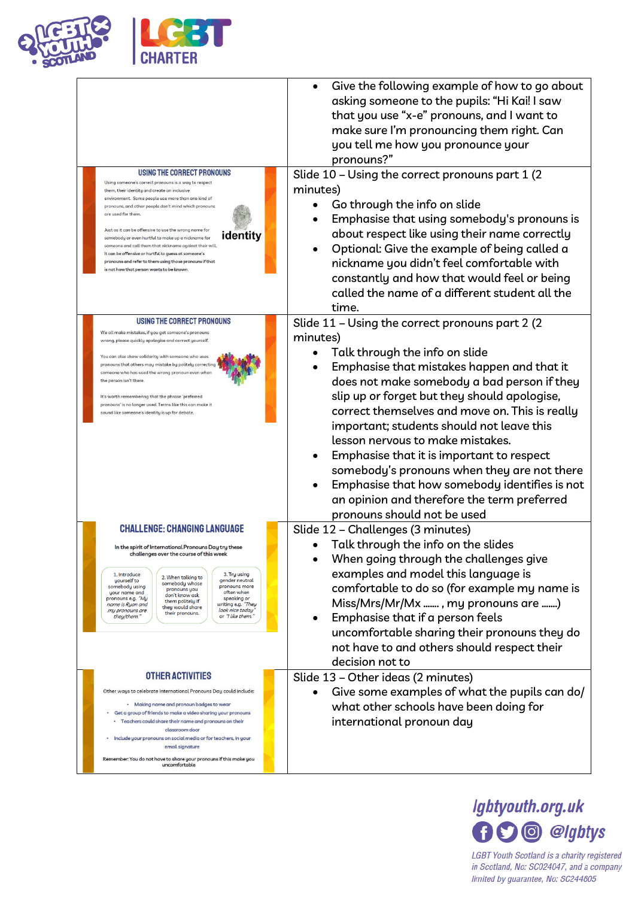

| USING THE CORRECT PRONOUNS<br>Using someone's correct pronouns is a way to respect<br>them, their identitu and create an inclusive<br>environment. Some people use more than one kind of<br>pronouns, and other people don't mind which pronouns<br>are used for them.<br>Just as it can be offensive to use the wrong name for<br>identity<br>somebody or even hurtful to make up a nickname for<br>someone and call them that nickname against their will,<br>it can be offensive or hurtful to guess at someone's<br>pronouns and refer to them using those pronouns if that<br>is not how that person wants to be known | Give the following example of how to go about<br>asking someone to the pupils: "Hi Kai! I saw<br>that you use "x-e" pronouns, and I want to<br>make sure I'm pronouncing them right. Can<br>you tell me how you pronounce your<br>pronouns?"<br>Slide 10 - Using the correct pronouns part 1 (2)<br>minutes)<br>Go through the info on slide<br>Emphasise that using somebody's pronouns is<br>about respect like using their name correctly<br>Optional: Give the example of being called a<br>nickname you didn't feel comfortable with<br>constantly and how that would feel or being<br>called the name of a different student all the<br>time. |
|-----------------------------------------------------------------------------------------------------------------------------------------------------------------------------------------------------------------------------------------------------------------------------------------------------------------------------------------------------------------------------------------------------------------------------------------------------------------------------------------------------------------------------------------------------------------------------------------------------------------------------|-----------------------------------------------------------------------------------------------------------------------------------------------------------------------------------------------------------------------------------------------------------------------------------------------------------------------------------------------------------------------------------------------------------------------------------------------------------------------------------------------------------------------------------------------------------------------------------------------------------------------------------------------------|
| USING THE CORRECT PRONOUNS<br>We all make mistakes, if you get someone's pronouns<br>wrong, please quickly apologise and correct yourself.<br>You can also show solidarity with someone who uses<br>pronouns that others may mistake by politely correcting<br>someone who has used the wrong pronoun even when<br>the person isn't there.<br>It's worth remembering that the phrase 'preferred<br>pronouns' is no longer used. Terms like this can make it<br>sound like someone's identity is up for debate.                                                                                                              | Slide 11 - Using the correct pronouns part 2 (2)<br>minutes)<br>Talk through the info on slide<br>Emphasise that mistakes happen and that it<br>does not make somebody a bad person if they<br>slip up or forget but they should apologise,<br>correct themselves and move on. This is really<br>important; students should not leave this<br>lesson nervous to make mistakes.<br>Emphasise that it is important to respect<br>somebody's pronouns when they are not there<br>Emphasise that how somebody identifies is not<br>an opinion and therefore the term preferred<br>pronouns should not be used                                           |
| <b>CHALLENGE: CHANGING LANGUAGE</b><br>In the spirit of International Pronouns Day try these<br>challenges over the course of this week<br>1. Introduce<br>3. Try using<br>2. When talking to<br>gender neutral<br>yourself to<br>somebody whose<br>pronouns more<br>somebody using<br>pronouns you<br>your name and<br>often when<br>don't know ask<br>pronouns e.g. "My<br>speaking or<br>them politely if<br>writing e.g. "They<br>name is Ryan and<br>they would share<br>look nice today'<br>my pronouns are<br>their pronouns.<br>they/them."<br>or "I like them."                                                    | Slide 12 - Challenges (3 minutes)<br>Talk through the info on the slides<br>When going through the challenges give<br>examples and model this language is<br>comfortable to do so (for example my name is<br>Miss/Mrs/Mr/Mx , my pronouns are )<br>Emphasise that if a person feels<br>uncomfortable sharing their pronouns they do<br>not have to and others should respect their<br>decision not to                                                                                                                                                                                                                                               |
| <b>OTHER ACTIVITIES</b><br>Other ways to celebrate International Pronouns Day could include:<br>· Making name and pronoun badges to wear<br>Get a group of friends to make a video sharing your pronouns<br>· Teachers could share their name and pronouns on their<br>classroom door<br>Include your pronouns on social media or for teachers, in your<br>email signature<br>Remember: You do not have to share your pronouns if this make you<br>uncomfortable                                                                                                                                                            | Slide 13 - Other ideas (2 minutes)<br>Give some examples of what the pupils can do/<br>what other schools have been doing for<br>international pronoun day                                                                                                                                                                                                                                                                                                                                                                                                                                                                                          |